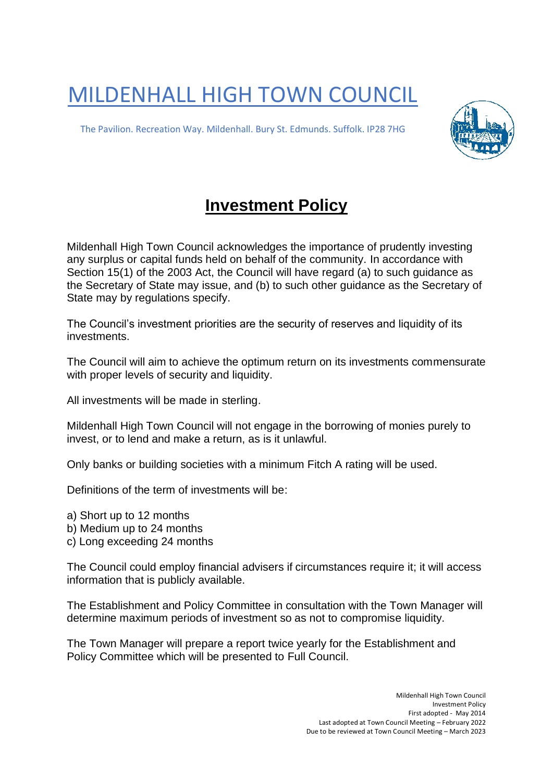MILDENHALL HIGH TOWN COUNCIL

The Pavilion. Recreation Way. Mildenhall. Bury St. Edmunds. Suffolk. IP28 7HG



## **Investment Policy**

Mildenhall High Town Council acknowledges the importance of prudently investing any surplus or capital funds held on behalf of the community. In accordance with Section 15(1) of the 2003 Act, the Council will have regard (a) to such guidance as the Secretary of State may issue, and (b) to such other guidance as the Secretary of State may by regulations specify.

The Council's investment priorities are the security of reserves and liquidity of its investments.

The Council will aim to achieve the optimum return on its investments commensurate with proper levels of security and liquidity.

All investments will be made in sterling.

Mildenhall High Town Council will not engage in the borrowing of monies purely to invest, or to lend and make a return, as is it unlawful.

Only banks or building societies with a minimum Fitch A rating will be used.

Definitions of the term of investments will be:

a) Short up to 12 months

b) Medium up to 24 months

c) Long exceeding 24 months

The Council could employ financial advisers if circumstances require it; it will access information that is publicly available.

The Establishment and Policy Committee in consultation with the Town Manager will determine maximum periods of investment so as not to compromise liquidity.

The Town Manager will prepare a report twice yearly for the Establishment and Policy Committee which will be presented to Full Council.